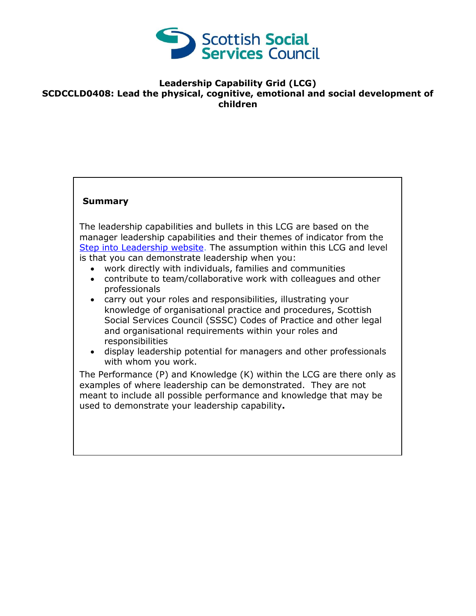

## **Leadership Capability Grid (LCG) SCDCCLD0408: Lead the physical, cognitive, emotional and social development of children**

## **Summary**

The leadership capabilities and bullets in this LCG are based on the manager leadership capabilities and their themes of indicator from the [Step into Leadership website.](http://www.stepintoleadership.info/) The assumption within this LCG and level is that you can demonstrate leadership when you:

- work directly with individuals, families and communities
- contribute to team/collaborative work with colleagues and other professionals
- carry out your roles and responsibilities, illustrating your knowledge of organisational practice and procedures, Scottish Social Services Council (SSSC) Codes of Practice and other legal and organisational requirements within your roles and responsibilities
- display leadership potential for managers and other professionals with whom you work.

The Performance (P) and Knowledge (K) within the LCG are there only as examples of where leadership can be demonstrated. They are not meant to include all possible performance and knowledge that may be used to demonstrate your leadership capability**.**